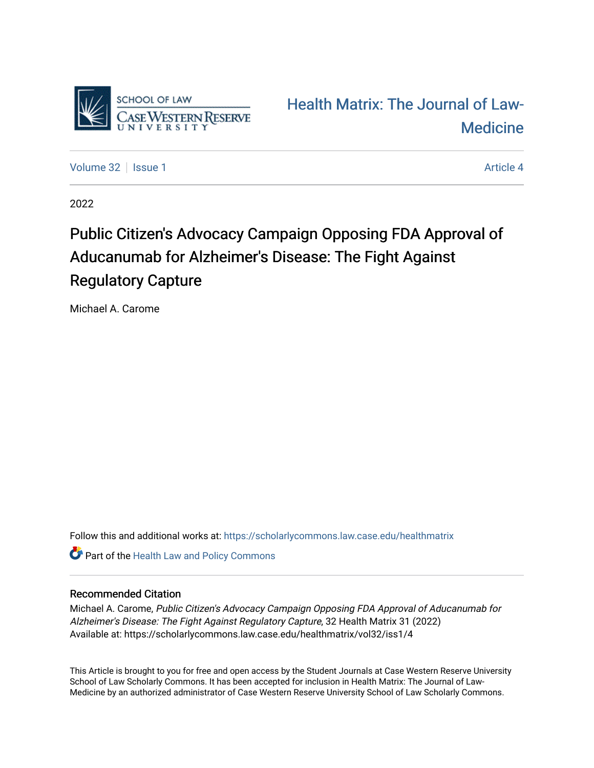

[Health Matrix: The Journal of Law-](https://scholarlycommons.law.case.edu/healthmatrix)**Medicine** 

[Volume 32](https://scholarlycommons.law.case.edu/healthmatrix/vol32) | [Issue 1](https://scholarlycommons.law.case.edu/healthmatrix/vol32/iss1) [Article 4](https://scholarlycommons.law.case.edu/healthmatrix/vol32/iss1/4) Article 4

2022

# Public Citizen's Advocacy Campaign Opposing FDA Approval of Aducanumab for Alzheimer's Disease: The Fight Against Regulatory Capture

Michael A. Carome

Follow this and additional works at: [https://scholarlycommons.law.case.edu/healthmatrix](https://scholarlycommons.law.case.edu/healthmatrix?utm_source=scholarlycommons.law.case.edu%2Fhealthmatrix%2Fvol32%2Fiss1%2F4&utm_medium=PDF&utm_campaign=PDFCoverPages) 

Part of the [Health Law and Policy Commons](http://network.bepress.com/hgg/discipline/901?utm_source=scholarlycommons.law.case.edu%2Fhealthmatrix%2Fvol32%2Fiss1%2F4&utm_medium=PDF&utm_campaign=PDFCoverPages) 

## Recommended Citation

Michael A. Carome, Public Citizen's Advocacy Campaign Opposing FDA Approval of Aducanumab for Alzheimer's Disease: The Fight Against Regulatory Capture, 32 Health Matrix 31 (2022) Available at: https://scholarlycommons.law.case.edu/healthmatrix/vol32/iss1/4

This Article is brought to you for free and open access by the Student Journals at Case Western Reserve University School of Law Scholarly Commons. It has been accepted for inclusion in Health Matrix: The Journal of Law-Medicine by an authorized administrator of Case Western Reserve University School of Law Scholarly Commons.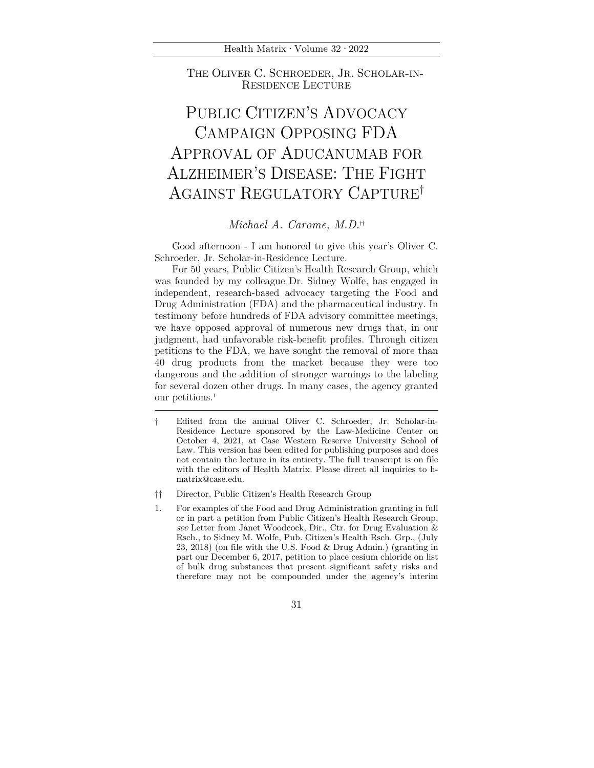Health Matrix·Volume 32·2022

THE OLIVER C. SCHROEDER, JR. SCHOLAR-IN- RESIDENCE LECTURE

## PUBLIC CITIZEN'S ADVOCACY CAMPAIGN OPPOSING FDA APPROVAL OF ADUCANUMAB FOR ALZHEIMER'S DISEASE: THE FIGHT AGAINST REGULATORY CAPTURE†

## *Michael A. Carome, M.D.*††

Good afternoon - I am honored to give this year's Oliver C. Schroeder, Jr. Scholar-in-Residence Lecture.

For 50 years, Public Citizen's Health Research Group, which was founded by my colleague Dr. Sidney Wolfe, has engaged in independent, research-based advocacy targeting the Food and Drug Administration (FDA) and the pharmaceutical industry. In testimony before hundreds of FDA advisory committee meetings, we have opposed approval of numerous new drugs that, in our judgment, had unfavorable risk-benefit profiles. Through citizen petitions to the FDA, we have sought the removal of more than 40 drug products from the market because they were too dangerous and the addition of stronger warnings to the labeling for several dozen other drugs. In many cases, the agency granted our petitions.1

- †† Director, Public Citizen's Health Research Group
- 1. For examples of the Food and Drug Administration granting in full or in part a petition from Public Citizen's Health Research Group, see Letter from Janet Woodcock, Dir., Ctr. for Drug Evaluation & Rsch., to Sidney M. Wolfe, Pub. Citizen's Health Rsch. Grp., (July 23, 2018) (on file with the U.S. Food & Drug Admin.) (granting in part our December 6, 2017, petition to place cesium chloride on list of bulk drug substances that present significant safety risks and therefore may not be compounded under the agency's interim

<sup>†</sup> Edited from the annual Oliver C. Schroeder, Jr. Scholar-in-Residence Lecture sponsored by the Law-Medicine Center on October 4, 2021, at Case Western Reserve University School of Law. This version has been edited for publishing purposes and does not contain the lecture in its entirety. The full transcript is on file with the editors of Health Matrix. Please direct all inquiries to hmatrix@case.edu.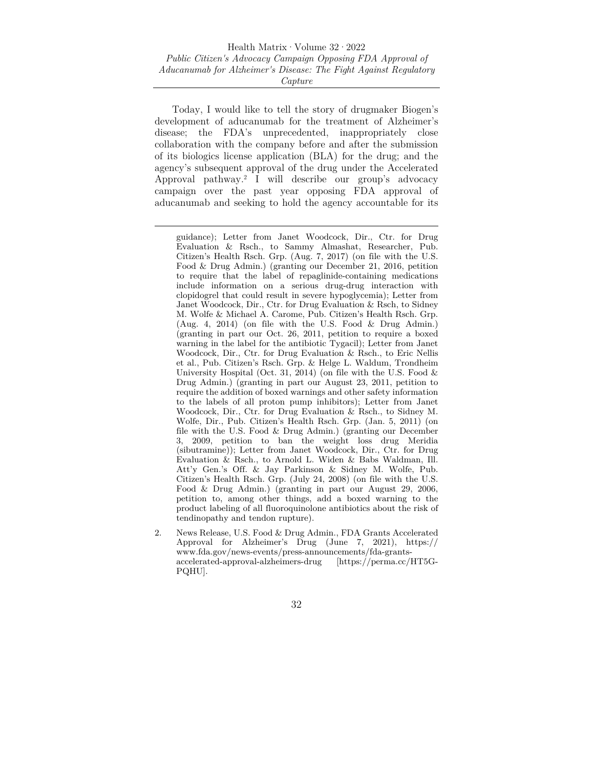Today, I would like to tell the story of drugmaker Biogen's development of aducanumab for the treatment of Alzheimer's disease; the FDA's unprecedented, inappropriately close collaboration with the company before and after the submission of its biologics license application (BLA) for the drug; and the agency's subsequent approval of the drug under the Accelerated Approval pathway.2 I will describe our group's advocacy campaign over the past year opposing FDA approval of aducanumab and seeking to hold the agency accountable for its

2. News Release, U.S. Food & Drug Admin., FDA Grants Accelerated Approval for Alzheimer's Drug (June 7, 2021), https:// www.fda.gov/news-events/press-announcements/fda-grantsaccelerated-approval-alzheimers-drug [https://perma.cc/HT5G-PQHU].

guidance); Letter from Janet Woodcock, Dir., Ctr. for Drug Evaluation & Rsch., to Sammy Almashat, Researcher, Pub. Citizen's Health Rsch. Grp. (Aug. 7, 2017) (on file with the U.S. Food & Drug Admin.) (granting our December 21, 2016, petition to require that the label of repaglinide-containing medications include information on a serious drug-drug interaction with clopidogrel that could result in severe hypoglycemia); Letter from Janet Woodcock, Dir., Ctr. for Drug Evaluation & Rsch, to Sidney M. Wolfe & Michael A. Carome, Pub. Citizen's Health Rsch. Grp. (Aug. 4, 2014) (on file with the U.S. Food & Drug Admin.) (granting in part our Oct. 26, 2011, petition to require a boxed warning in the label for the antibiotic Tygacil); Letter from Janet Woodcock, Dir., Ctr. for Drug Evaluation & Rsch., to Eric Nellis et al., Pub. Citizen's Rsch. Grp. & Helge L. Waldum, Trondheim University Hospital (Oct. 31, 2014) (on file with the U.S. Food  $\&$ Drug Admin.) (granting in part our August 23, 2011, petition to require the addition of boxed warnings and other safety information to the labels of all proton pump inhibitors); Letter from Janet Woodcock, Dir., Ctr. for Drug Evaluation & Rsch., to Sidney M. Wolfe, Dir., Pub. Citizen's Health Rsch. Grp. (Jan. 5, 2011) (on file with the U.S. Food & Drug Admin.) (granting our December 3, 2009, petition to ban the weight loss drug Meridia (sibutramine)); Letter from Janet Woodcock, Dir., Ctr. for Drug Evaluation & Rsch., to Arnold L. Widen & Babs Waldman, Ill. Att'y Gen.'s Off. & Jay Parkinson & Sidney M. Wolfe, Pub. Citizen's Health Rsch. Grp. (July 24, 2008) (on file with the U.S. Food & Drug Admin.) (granting in part our August 29, 2006, petition to, among other things, add a boxed warning to the product labeling of all fluoroquinolone antibiotics about the risk of tendinopathy and tendon rupture).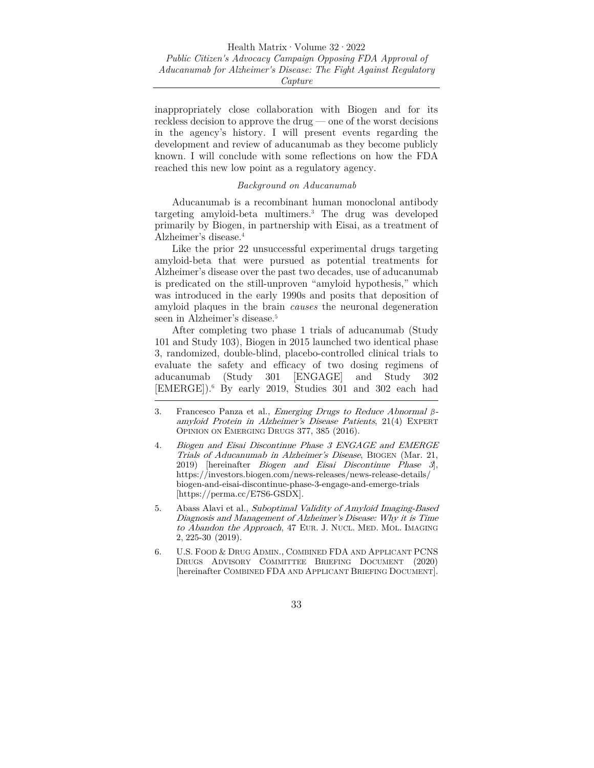inappropriately close collaboration with Biogen and for its reckless decision to approve the drug — one of the worst decisions in the agency's history. I will present events regarding the development and review of aducanumab as they become publicly known. I will conclude with some reflections on how the FDA reached this new low point as a regulatory agency.

#### *Background on Aducanumab*

Aducanumab is a recombinant human monoclonal antibody targeting amyloid-beta multimers.3 The drug was developed primarily by Biogen, in partnership with Eisai, as a treatment of Alzheimer's disease.4

Like the prior 22 unsuccessful experimental drugs targeting amyloid-beta that were pursued as potential treatments for Alzheimer's disease over the past two decades, use of aducanumab is predicated on the still-unproven "amyloid hypothesis," which was introduced in the early 1990s and posits that deposition of amyloid plaques in the brain *causes* the neuronal degeneration seen in Alzheimer's disease.<sup>5</sup>

After completing two phase 1 trials of aducanumab (Study 101 and Study 103), Biogen in 2015 launched two identical phase 3, randomized, double-blind, placebo-controlled clinical trials to evaluate the safety and efficacy of two dosing regimens of aducanumab (Study 301 [ENGAGE] and Study 302 [EMERGE]).6 By early 2019, Studies 301 and 302 each had

- 4. Biogen and Eisai Discontinue Phase 3 ENGAGE and EMERGE Trials of Aducanumab in Alzheimer's Disease, BIOGEN (Mar. 21, 2019) [hereinafter *Biogen and Eisai Discontinue Phase 3*], https://investors.biogen.com/news-releases/news-release-details/ biogen-and-eisai-discontinue-phase-3-engage-and-emerge-trials [https://perma.cc/E7S6-GSDX].
- 5. Abass Alavi et al., Suboptimal Validity of Amyloid Imaging-Based Diagnosis and Management of Alzheimer's Disease: Why it is Time to Abandon the Approach, 47 EUR. J. NUCL. MED. MOL. IMAGING 2, 225-30 (2019).
- 6. U.S. FOOD & DRUG ADMIN., COMBINED FDA AND APPLICANT PCNS DRUGS ADVISORY COMMITTEE BRIEFING DOCUMENT (2020) [hereinafter COMBINED FDA AND APPLICANT BRIEFING DOCUMENT].

<sup>3.</sup> Francesco Panza et al., Emerging Drugs to Reduce Abnormal *β*amyloid Protein in Alzheimer's Disease Patients, 21(4) EXPERT OPINION ON EMERGING DRUGS 377, 385 (2016).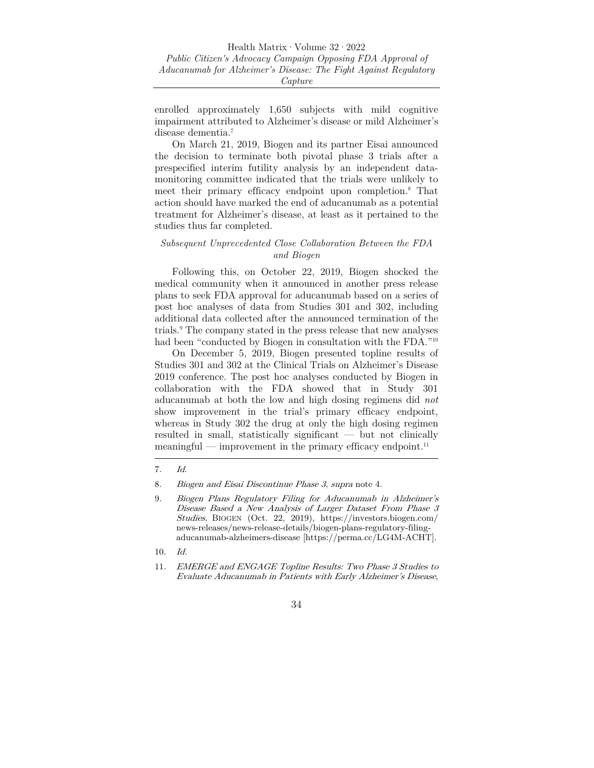enrolled approximately 1,650 subjects with mild cognitive impairment attributed to Alzheimer's disease or mild Alzheimer's disease dementia.7

On March 21, 2019, Biogen and its partner Eisai announced the decision to terminate both pivotal phase 3 trials after a prespecified interim futility analysis by an independent datamonitoring committee indicated that the trials were unlikely to meet their primary efficacy endpoint upon completion.8 That action should have marked the end of aducanumab as a potential treatment for Alzheimer's disease, at least as it pertained to the studies thus far completed.

#### *Subsequent Unprecedented Close Collaboration Between the FDA and Biogen*

Following this, on October 22, 2019, Biogen shocked the medical community when it announced in another press release plans to seek FDA approval for aducanumab based on a series of post hoc analyses of data from Studies 301 and 302, including additional data collected after the announced termination of the trials.9 The company stated in the press release that new analyses had been "conducted by Biogen in consultation with the FDA."<sup>10</sup>

On December 5, 2019, Biogen presented topline results of Studies 301 and 302 at the Clinical Trials on Alzheimer's Disease 2019 conference. The post hoc analyses conducted by Biogen in collaboration with the FDA showed that in Study 301 aducanumab at both the low and high dosing regimens did *not* show improvement in the trial's primary efficacy endpoint, whereas in Study 302 the drug at only the high dosing regimen resulted in small, statistically significant — but not clinically meaningful — improvement in the primary efficacy endpoint.<sup>11</sup>

<sup>7</sup>. Id.

<sup>8</sup>. Biogen and Eisai Discontinue Phase 3, supra note 4.

<sup>9</sup>. Biogen Plans Regulatory Filing for Aducanumab in Alzheimer's Disease Based a New Analysis of Larger Dataset From Phase 3 Studies, BIOGEN (Oct. 22, 2019), https://investors.biogen.com/ news-releases/news-release-details/biogen-plans-regulatory-filingaducanumab-alzheimers-disease [https://perma.cc/LG4M-ACHT].

<sup>10</sup>. Id.

<sup>11</sup>. EMERGE and ENGAGE Topline Results: Two Phase 3 Studies to Evaluate Aducanumab in Patients with Early Alzheimer's Disease,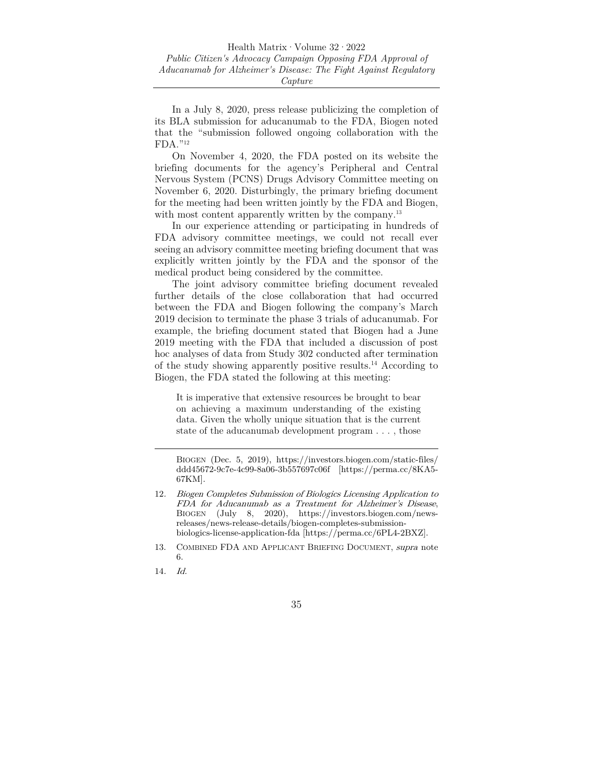In a July 8, 2020, press release publicizing the completion of its BLA submission for aducanumab to the FDA, Biogen noted that the "submission followed ongoing collaboration with the FDA."12

On November 4, 2020, the FDA posted on its website the briefing documents for the agency's Peripheral and Central Nervous System (PCNS) Drugs Advisory Committee meeting on November 6, 2020. Disturbingly, the primary briefing document for the meeting had been written jointly by the FDA and Biogen, with most content apparently written by the company.<sup>13</sup>

In our experience attending or participating in hundreds of FDA advisory committee meetings, we could not recall ever seeing an advisory committee meeting briefing document that was explicitly written jointly by the FDA and the sponsor of the medical product being considered by the committee.

The joint advisory committee briefing document revealed further details of the close collaboration that had occurred between the FDA and Biogen following the company's March 2019 decision to terminate the phase 3 trials of aducanumab. For example, the briefing document stated that Biogen had a June 2019 meeting with the FDA that included a discussion of post hoc analyses of data from Study 302 conducted after termination of the study showing apparently positive results.14 According to Biogen, the FDA stated the following at this meeting:

It is imperative that extensive resources be brought to bear on achieving a maximum understanding of the existing data. Given the wholly unique situation that is the current state of the aducanumab development program . . . , those

14. Id.

BIOGEN (Dec. 5, 2019), https://investors.biogen.com/static-files/ ddd45672-9c7e-4c99-8a06-3b557697c06f [https://perma.cc/8KA5- 67KM].

<sup>12</sup>. Biogen Completes Submission of Biologics Licensing Application to FDA for Aducanumab as a Treatment for Alzheimer's Disease, BIOGEN (July 8, 2020), https://investors.biogen.com/newsreleases/news-release-details/biogen-completes-submissionbiologics-license-application-fda [https://perma.cc/6PL4-2BXZ].

<sup>13.</sup> COMBINED FDA AND APPLICANT BRIEFING DOCUMENT, supra note 6.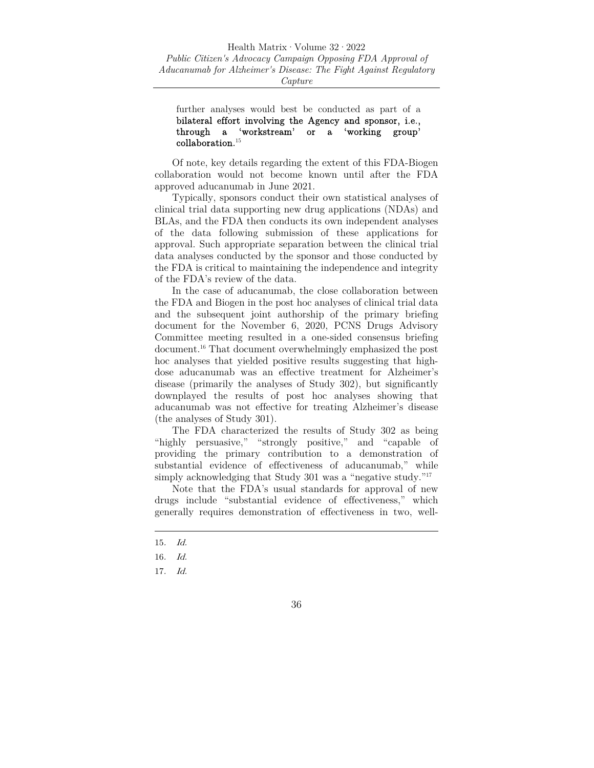further analyses would best be conducted as part of a bilateral effort involving the Agency and sponsor, i.e., through a 'workstream' or a 'working group'  $\,$  collaboration.  $^{15}$ 

Of note, key details regarding the extent of this FDA-Biogen collaboration would not become known until after the FDA approved aducanumab in June 2021.

Typically, sponsors conduct their own statistical analyses of clinical trial data supporting new drug applications (NDAs) and BLAs, and the FDA then conducts its own independent analyses of the data following submission of these applications for approval. Such appropriate separation between the clinical trial data analyses conducted by the sponsor and those conducted by the FDA is critical to maintaining the independence and integrity of the FDA's review of the data.

In the case of aducanumab, the close collaboration between the FDA and Biogen in the post hoc analyses of clinical trial data and the subsequent joint authorship of the primary briefing document for the November 6, 2020, PCNS Drugs Advisory Committee meeting resulted in a one-sided consensus briefing document.16 That document overwhelmingly emphasized the post hoc analyses that yielded positive results suggesting that highdose aducanumab was an effective treatment for Alzheimer's disease (primarily the analyses of Study 302), but significantly downplayed the results of post hoc analyses showing that aducanumab was not effective for treating Alzheimer's disease (the analyses of Study 301).

The FDA characterized the results of Study 302 as being "highly persuasive," "strongly positive," and "capable of providing the primary contribution to a demonstration of substantial evidence of effectiveness of aducanumab," while simply acknowledging that Study 301 was a "negative study."<sup>17</sup>

Note that the FDA's usual standards for approval of new drugs include "substantial evidence of effectiveness," which generally requires demonstration of effectiveness in two, well-



<sup>15</sup>. Id.

<sup>16</sup>. Id.

<sup>17</sup>. Id.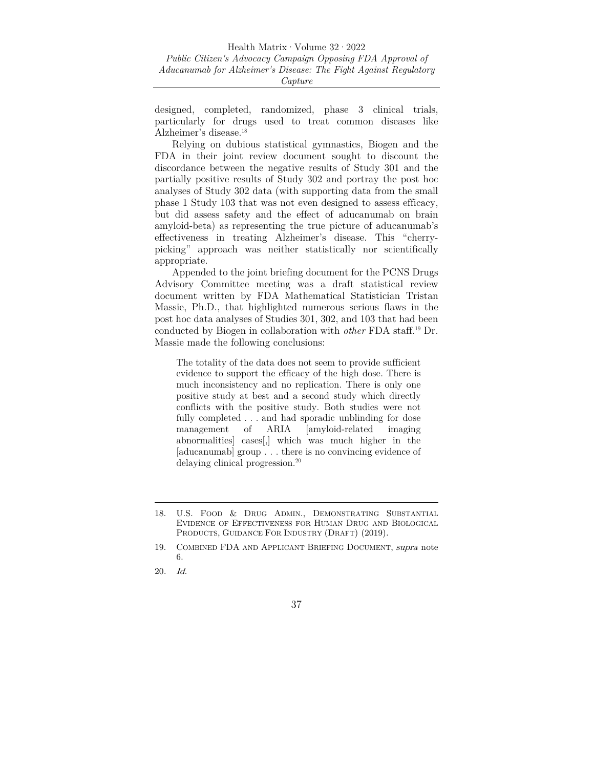designed, completed, randomized, phase 3 clinical trials, particularly for drugs used to treat common diseases like Alzheimer's disease.18

Relying on dubious statistical gymnastics, Biogen and the FDA in their joint review document sought to discount the discordance between the negative results of Study 301 and the partially positive results of Study 302 and portray the post hoc analyses of Study 302 data (with supporting data from the small phase 1 Study 103 that was not even designed to assess efficacy, but did assess safety and the effect of aducanumab on brain amyloid-beta) as representing the true picture of aducanumab's effectiveness in treating Alzheimer's disease. This "cherrypicking" approach was neither statistically nor scientifically appropriate.

Appended to the joint briefing document for the PCNS Drugs Advisory Committee meeting was a draft statistical review document written by FDA Mathematical Statistician Tristan Massie, Ph.D., that highlighted numerous serious flaws in the post hoc data analyses of Studies 301, 302, and 103 that had been conducted by Biogen in collaboration with *other* FDA staff.19 Dr. Massie made the following conclusions:

The totality of the data does not seem to provide sufficient evidence to support the efficacy of the high dose. There is much inconsistency and no replication. There is only one positive study at best and a second study which directly conflicts with the positive study. Both studies were not fully completed . . . and had sporadic unblinding for dose management of ARIA [amyloid-related imaging abnormalities] cases[,] which was much higher in the [aducanumab] group . . . there is no convincing evidence of delaying clinical progression.20

<sup>18.</sup> U.S. FOOD & DRUG ADMIN., DEMONSTRATING SUBSTANTIAL EVIDENCE OF EFFECTIVENESS FOR HUMAN DRUG AND BIOLOGICAL PRODUCTS, GUIDANCE FOR INDUSTRY (DRAFT) (2019).

<sup>19.</sup> COMBINED FDA AND APPLICANT BRIEFING DOCUMENT, supra note 6.

<sup>20</sup>. Id.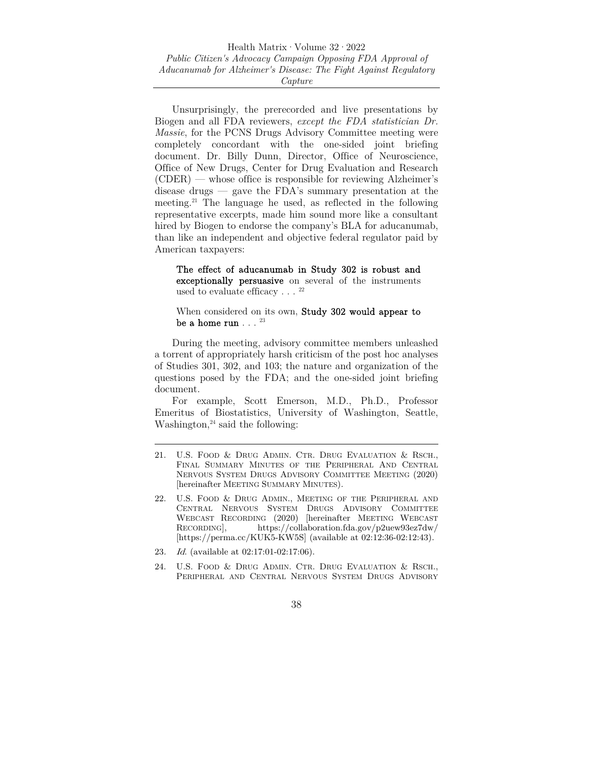Unsurprisingly, the prerecorded and live presentations by Biogen and all FDA reviewers, *except the FDA statistician Dr. Massie*, for the PCNS Drugs Advisory Committee meeting were completely concordant with the one-sided joint briefing document. Dr. Billy Dunn, Director, Office of Neuroscience, Office of New Drugs, Center for Drug Evaluation and Research (CDER) — whose office is responsible for reviewing Alzheimer's disease drugs — gave the FDA's summary presentation at the meeting.21 The language he used, as reflected in the following representative excerpts, made him sound more like a consultant hired by Biogen to endorse the company's BLA for aducanumab, than like an independent and objective federal regulator paid by American taxpayers:

The effect of aducanumab in Study 302 is robust and exceptionally persuasive on several of the instruments used to evaluate efficacy . . .  $^{\rm 22}$ 

When considered on its own, **Study 302 would appear to** be a home run  $\ldots$   $^{23}$ 

During the meeting, advisory committee members unleashed a torrent of appropriately harsh criticism of the post hoc analyses of Studies 301, 302, and 103; the nature and organization of the questions posed by the FDA; and the one-sided joint briefing document.

For example, Scott Emerson, M.D., Ph.D., Professor Emeritus of Biostatistics, University of Washington, Seattle, Washington, $24$  said the following:

- 23. Id. (available at 02:17:01-02:17:06).
- 24. U.S. FOOD & DRUG ADMIN. CTR. DRUG EVALUATION & RSCH., PERIPHERAL AND CENTRAL NERVOUS SYSTEM DRUGS ADVISORY

<sup>21.</sup> U.S. FOOD & DRUG ADMIN. CTR. DRUG EVALUATION & RSCH., FINAL SUMMARY MINUTES OF THE PERIPHERAL AND CENTRAL NERVOUS SYSTEM DRUGS ADVISORY COMMITTEE MEETING (2020) [hereinafter MEETING SUMMARY MINUTES).

<sup>22.</sup> U.S. FOOD & DRUG ADMIN., MEETING OF THE PERIPHERAL AND CENTRAL NERVOUS SYSTEM DRUGS ADVISORY COMMITTEE WEBCAST RECORDING (2020) [hereinafter MEETING WEBCAST RECORDING], https://collaboration.fda.gov/p2uew93ez7dw/ [https://perma.cc/KUK5-KW5S] (available at 02:12:36-02:12:43).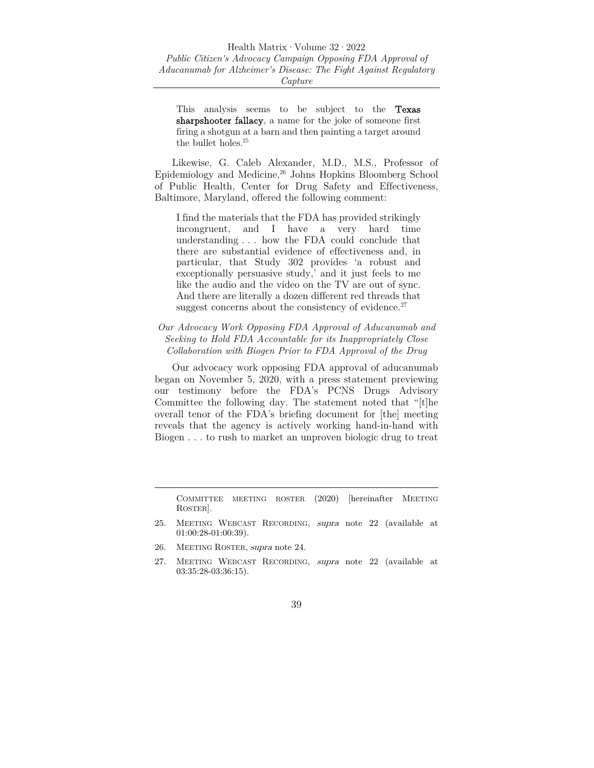This analysis seems to be subject to the **Texas** sharpshooter fallacy, a name for the joke of someone first firing a shotgun at a barn and then painting a target around the bullet holes.  $\rm ^{25}$ 

Likewise, G. Caleb Alexander, M.D., M.S., Professor of Epidemiology and Medicine,<sup>26</sup> Johns Hopkins Bloomberg School of Public Health, Center for Drug Safety and Effectiveness, Baltimore, Maryland, offered the following comment:

I find the materials that the FDA has provided strikingly incongruent, and I have a very hard time understanding . . . how the FDA could conclude that there are substantial evidence of effectiveness and, in particular, that Study 302 provides 'a robust and exceptionally persuasive study,' and it just feels to me like the audio and the video on the TV are out of sync. And there are literally a dozen different red threads that suggest concerns about the consistency of evidence.<sup>27</sup>

## *Our Advocacy Work Opposing FDA Approval of Aducanumab and Seeking to Hold FDA Accountable for its Inappropriately Close Collaboration with Biogen Prior to FDA Approval of the Drug*

Our advocacy work opposing FDA approval of aducanumab began on November 5, 2020, with a press statement previewing our testimony before the FDA's PCNS Drugs Advisory Committee the following day. The statement noted that "[t]he overall tenor of the FDA's briefing document for [the] meeting reveals that the agency is actively working hand-in-hand with Biogen . . . to rush to market an unproven biologic drug to treat

COMMITTEE MEETING ROSTER (2020) [hereinafter MEETING ROSTER].

- 25. MEETING WEBCAST RECORDING, supra note 22 (available at 01:00:28-01:00:39).
- 26. MEETING ROSTER, supra note 24.
- 27. MEETING WEBCAST RECORDING, supra note 22 (available at 03:35:28-03:36:15).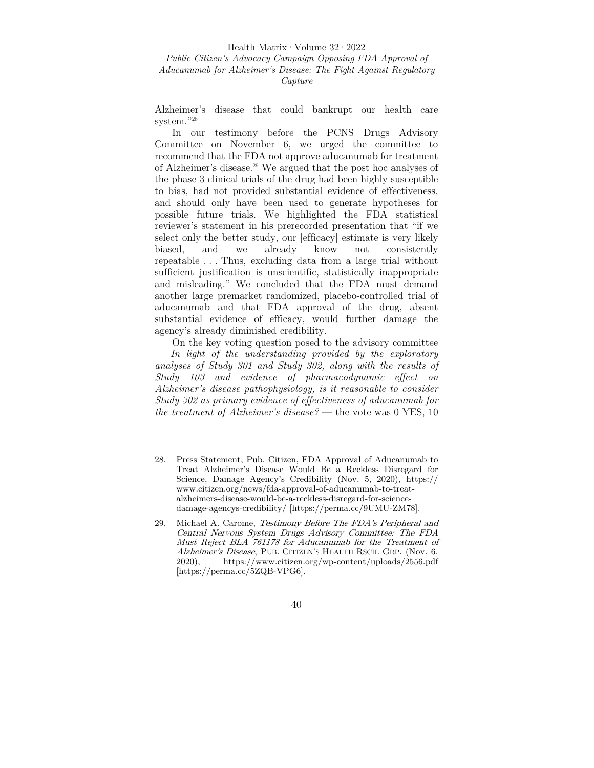Alzheimer's disease that could bankrupt our health care system."28

In our testimony before the PCNS Drugs Advisory Committee on November 6, we urged the committee to recommend that the FDA not approve aducanumab for treatment of Alzheimer's disease.29 We argued that the post hoc analyses of the phase 3 clinical trials of the drug had been highly susceptible to bias, had not provided substantial evidence of effectiveness, and should only have been used to generate hypotheses for possible future trials. We highlighted the FDA statistical reviewer's statement in his prerecorded presentation that "if we select only the better study, our [efficacy] estimate is very likely biased, and we already know not consistently repeatable . . . Thus, excluding data from a large trial without sufficient justification is unscientific, statistically inappropriate and misleading." We concluded that the FDA must demand another large premarket randomized, placebo-controlled trial of aducanumab and that FDA approval of the drug, absent substantial evidence of efficacy, would further damage the agency's already diminished credibility.

On the key voting question posed to the advisory committee — *In light of the understanding provided by the exploratory analyses of Study 301 and Study 302, along with the results of Study 103 and evidence of pharmacodynamic effect on Alzheimer's disease pathophysiology, is it reasonable to consider Study 302 as primary evidence of effectiveness of aducanumab for the treatment of Alzheimer's disease?* — the vote was 0 YES, 10

<sup>28.</sup> Press Statement, Pub. Citizen, FDA Approval of Aducanumab to Treat Alzheimer's Disease Would Be a Reckless Disregard for Science, Damage Agency's Credibility (Nov. 5, 2020), https:// www.citizen.org/news/fda-approval-of-aducanumab-to-treatalzheimers-disease-would-be-a-reckless-disregard-for-sciencedamage-agencys-credibility/ [https://perma.cc/9UMU-ZM78].

<sup>29.</sup> Michael A. Carome, Testimony Before The FDA's Peripheral and Central Nervous System Drugs Advisory Committee: The FDA Must Reject BLA 761178 for Aducanumab for the Treatment of Alzheimer's Disease, PUB. CITIZEN'S HEALTH RSCH. GRP. (Nov. 6, 2020), https://www.citizen.org/wp-content/uploads/2556.pdf [https://perma.cc/5ZQB-VPG6].

<sup>40</sup>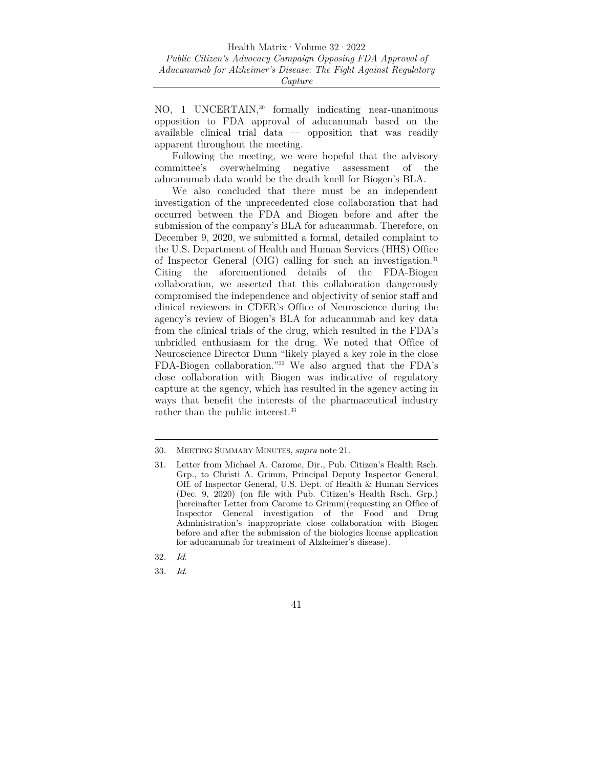NO, 1 UNCERTAIN,30 formally indicating near-unanimous opposition to FDA approval of aducanumab based on the available clinical trial data — opposition that was readily apparent throughout the meeting.

Following the meeting, we were hopeful that the advisory committee's overwhelming negative assessment of the aducanumab data would be the death knell for Biogen's BLA.

We also concluded that there must be an independent investigation of the unprecedented close collaboration that had occurred between the FDA and Biogen before and after the submission of the company's BLA for aducanumab. Therefore, on December 9, 2020, we submitted a formal, detailed complaint to the U.S. Department of Health and Human Services (HHS) Office of Inspector General (OIG) calling for such an investigation.31 Citing the aforementioned details of the FDA-Biogen collaboration, we asserted that this collaboration dangerously compromised the independence and objectivity of senior staff and clinical reviewers in CDER's Office of Neuroscience during the agency's review of Biogen's BLA for aducanumab and key data from the clinical trials of the drug, which resulted in the FDA's unbridled enthusiasm for the drug. We noted that Office of Neuroscience Director Dunn "likely played a key role in the close FDA-Biogen collaboration."32 We also argued that the FDA's close collaboration with Biogen was indicative of regulatory capture at the agency, which has resulted in the agency acting in ways that benefit the interests of the pharmaceutical industry rather than the public interest.<sup>33</sup>

33. Id.

<sup>30.</sup> MEETING SUMMARY MINUTES, supra note 21.

<sup>31.</sup> Letter from Michael A. Carome, Dir., Pub. Citizen's Health Rsch. Grp., to Christi A. Grimm, Principal Deputy Inspector General, Off. of Inspector General, U.S. Dept. of Health & Human Services (Dec. 9, 2020) (on file with Pub. Citizen's Health Rsch. Grp.) [hereinafter Letter from Carome to Grimm](requesting an Office of Inspector General investigation of the Food and Drug Administration's inappropriate close collaboration with Biogen before and after the submission of the biologics license application for aducanumab for treatment of Alzheimer's disease).

<sup>32</sup>. Id.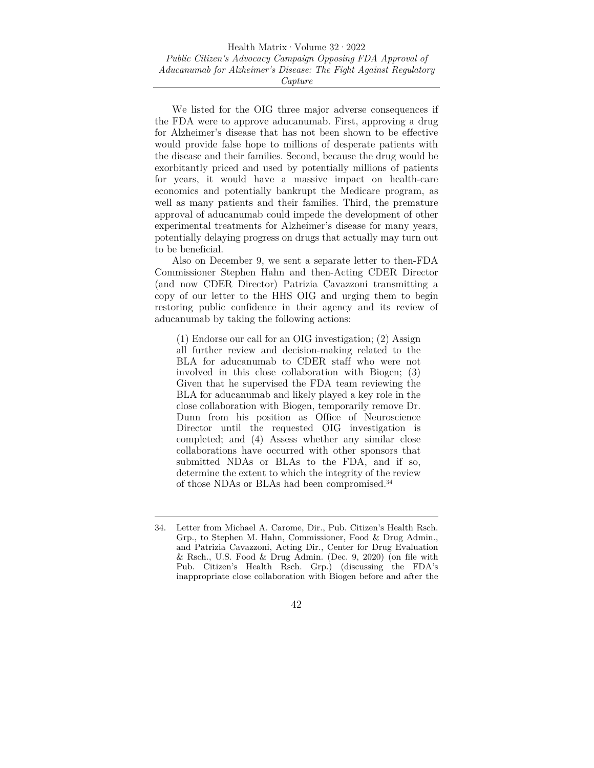We listed for the OIG three major adverse consequences if the FDA were to approve aducanumab. First, approving a drug for Alzheimer's disease that has not been shown to be effective would provide false hope to millions of desperate patients with the disease and their families. Second, because the drug would be exorbitantly priced and used by potentially millions of patients for years, it would have a massive impact on health-care economics and potentially bankrupt the Medicare program, as well as many patients and their families. Third, the premature approval of aducanumab could impede the development of other experimental treatments for Alzheimer's disease for many years, potentially delaying progress on drugs that actually may turn out to be beneficial.

Also on December 9, we sent a separate letter to then-FDA Commissioner Stephen Hahn and then-Acting CDER Director (and now CDER Director) Patrizia Cavazzoni transmitting a copy of our letter to the HHS OIG and urging them to begin restoring public confidence in their agency and its review of aducanumab by taking the following actions:

(1) Endorse our call for an OIG investigation; (2) Assign all further review and decision-making related to the BLA for aducanumab to CDER staff who were not involved in this close collaboration with Biogen; (3) Given that he supervised the FDA team reviewing the BLA for aducanumab and likely played a key role in the close collaboration with Biogen, temporarily remove Dr. Dunn from his position as Office of Neuroscience Director until the requested OIG investigation is completed; and (4) Assess whether any similar close collaborations have occurred with other sponsors that submitted NDAs or BLAs to the FDA, and if so, determine the extent to which the integrity of the review of those NDAs or BLAs had been compromised.34

<sup>34.</sup> Letter from Michael A. Carome, Dir., Pub. Citizen's Health Rsch. Grp., to Stephen M. Hahn, Commissioner, Food & Drug Admin., and Patrizia Cavazzoni, Acting Dir., Center for Drug Evaluation & Rsch., U.S. Food & Drug Admin. (Dec. 9, 2020) (on file with Pub. Citizen's Health Rsch. Grp.) (discussing the FDA's inappropriate close collaboration with Biogen before and after the

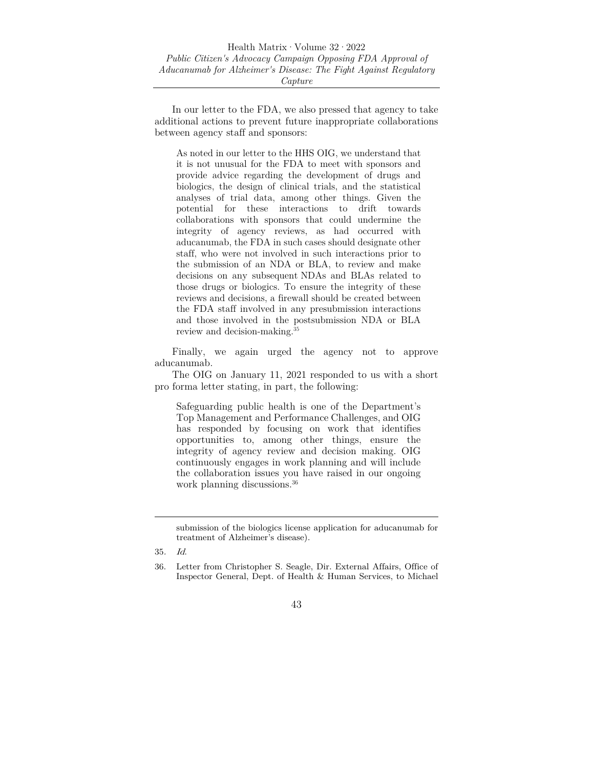In our letter to the FDA, we also pressed that agency to take additional actions to prevent future inappropriate collaborations between agency staff and sponsors:

As noted in our letter to the HHS OIG, we understand that it is not unusual for the FDA to meet with sponsors and provide advice regarding the development of drugs and biologics, the design of clinical trials, and the statistical analyses of trial data, among other things. Given the potential for these interactions to drift towards collaborations with sponsors that could undermine the integrity of agency reviews, as had occurred with aducanumab, the FDA in such cases should designate other staff, who were not involved in such interactions prior to the submission of an NDA or BLA, to review and make decisions on any subsequent NDAs and BLAs related to those drugs or biologics. To ensure the integrity of these reviews and decisions, a firewall should be created between the FDA staff involved in any presubmission interactions and those involved in the postsubmission NDA or BLA review and decision-making.35

Finally, we again urged the agency not to approve aducanumab.

The OIG on January 11, 2021 responded to us with a short pro forma letter stating, in part, the following:

Safeguarding public health is one of the Department's Top Management and Performance Challenges, and OIG has responded by focusing on work that identifies opportunities to, among other things, ensure the integrity of agency review and decision making. OIG continuously engages in work planning and will include the collaboration issues you have raised in our ongoing work planning discussions.36

submission of the biologics license application for aducanumab for treatment of Alzheimer's disease).

<sup>35</sup>. Id.

<sup>36.</sup> Letter from Christopher S. Seagle, Dir. External Affairs, Office of Inspector General, Dept. of Health & Human Services, to Michael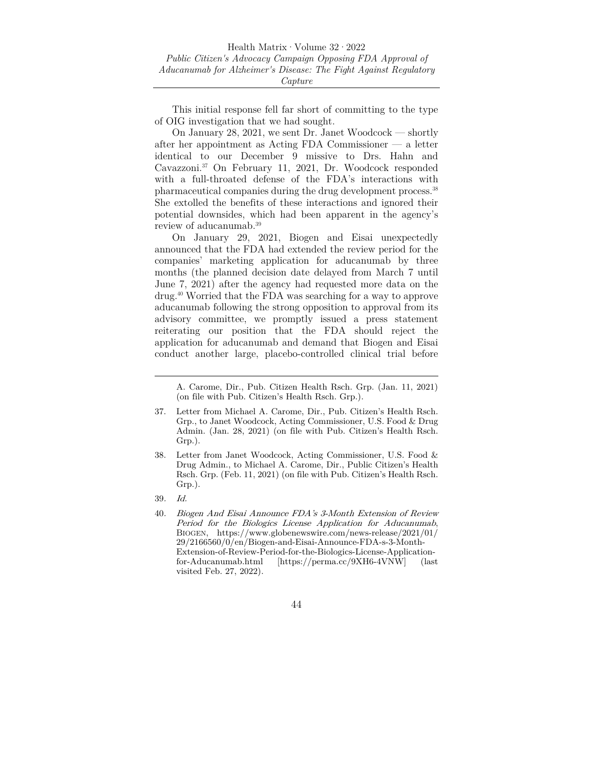This initial response fell far short of committing to the type of OIG investigation that we had sought.

On January 28, 2021, we sent Dr. Janet Woodcock — shortly after her appointment as Acting FDA Commissioner — a letter identical to our December 9 missive to Drs. Hahn and Cavazzoni.37 On February 11, 2021, Dr. Woodcock responded with a full-throated defense of the FDA's interactions with pharmaceutical companies during the drug development process.38 She extolled the benefits of these interactions and ignored their potential downsides, which had been apparent in the agency's review of aducanumab.39

On January 29, 2021, Biogen and Eisai unexpectedly announced that the FDA had extended the review period for the companies' marketing application for aducanumab by three months (the planned decision date delayed from March 7 until June 7, 2021) after the agency had requested more data on the drug.40 Worried that the FDA was searching for a way to approve aducanumab following the strong opposition to approval from its advisory committee, we promptly issued a press statement reiterating our position that the FDA should reject the application for aducanumab and demand that Biogen and Eisai conduct another large, placebo-controlled clinical trial before

A. Carome, Dir., Pub. Citizen Health Rsch. Grp. (Jan. 11, 2021) (on file with Pub. Citizen's Health Rsch. Grp.).

- 37. Letter from Michael A. Carome, Dir., Pub. Citizen's Health Rsch. Grp., to Janet Woodcock, Acting Commissioner, U.S. Food & Drug Admin. (Jan. 28, 2021) (on file with Pub. Citizen's Health Rsch. Grp.).
- 38. Letter from Janet Woodcock, Acting Commissioner, U.S. Food & Drug Admin., to Michael A. Carome, Dir., Public Citizen's Health Rsch. Grp. (Feb. 11, 2021) (on file with Pub. Citizen's Health Rsch. Grp.).
- 39. Id.
- 40. Biogen And Eisai Announce FDA's 3-Month Extension of Review Period for the Biologics License Application for Aducanumab, BIOGEN, https://www.globenewswire.com/news-release/2021/01/ 29/2166560/0/en/Biogen-and-Eisai-Announce-FDA-s-3-Month-Extension-of-Review-Period-for-the-Biologics-License-Applicationfor-Aducanumab.html [https://perma.cc/9XH6-4VNW] (last visited Feb. 27, 2022).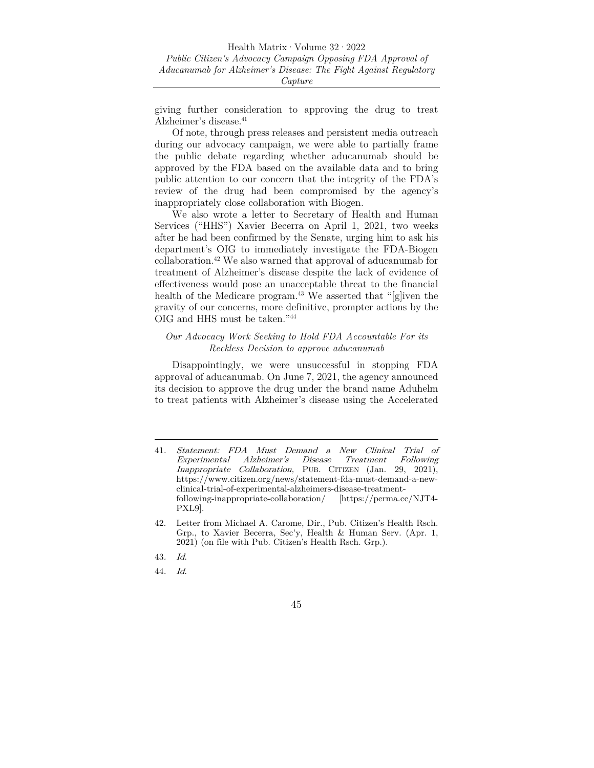giving further consideration to approving the drug to treat Alzheimer's disease.<sup>41</sup>

Of note, through press releases and persistent media outreach during our advocacy campaign, we were able to partially frame the public debate regarding whether aducanumab should be approved by the FDA based on the available data and to bring public attention to our concern that the integrity of the FDA's review of the drug had been compromised by the agency's inappropriately close collaboration with Biogen.

We also wrote a letter to Secretary of Health and Human Services ("HHS") Xavier Becerra on April 1, 2021, two weeks after he had been confirmed by the Senate, urging him to ask his department's OIG to immediately investigate the FDA-Biogen collaboration.42 We also warned that approval of aducanumab for treatment of Alzheimer's disease despite the lack of evidence of effectiveness would pose an unacceptable threat to the financial health of the Medicare program.<sup>43</sup> We asserted that "[g]iven the gravity of our concerns, more definitive, prompter actions by the OIG and HHS must be taken."44

#### *Our Advocacy Work Seeking to Hold FDA Accountable For its Reckless Decision to approve aducanumab*

Disappointingly, we were unsuccessful in stopping FDA approval of aducanumab. On June 7, 2021, the agency announced its decision to approve the drug under the brand name Aduhelm to treat patients with Alzheimer's disease using the Accelerated

44. Id.

<sup>41</sup>. Statement: FDA Must Demand a New Clinical Trial of Experimental Alzheimer's Disease Treatment Following Inappropriate Collaboration, PUB. CITIZEN (Jan. 29, 2021), https://www.citizen.org/news/statement-fda-must-demand-a-newclinical-trial-of-experimental-alzheimers-disease-treatmentfollowing-inappropriate-collaboration/ [https://perma.cc/NJT4- PXL9].

<sup>42.</sup> Letter from Michael A. Carome, Dir., Pub. Citizen's Health Rsch. Grp., to Xavier Becerra, Sec'y, Health & Human Serv. (Apr. 1, 2021) (on file with Pub. Citizen's Health Rsch. Grp.).

<sup>43</sup>. Id.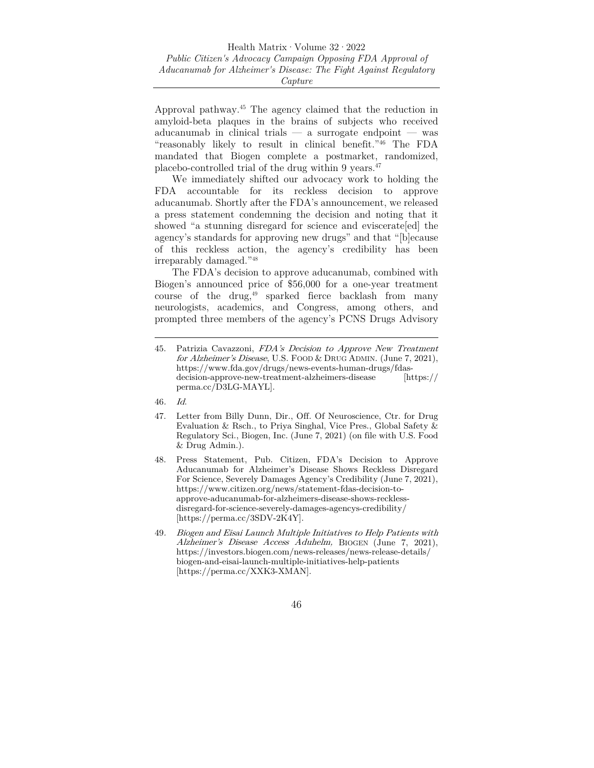Approval pathway.45 The agency claimed that the reduction in amyloid-beta plaques in the brains of subjects who received aducanumab in clinical trials — a surrogate endpoint — was "reasonably likely to result in clinical benefit."46 The FDA mandated that Biogen complete a postmarket, randomized, placebo-controlled trial of the drug within 9 years.47

We immediately shifted our advocacy work to holding the FDA accountable for its reckless decision to approve aducanumab. Shortly after the FDA's announcement, we released a press statement condemning the decision and noting that it showed "a stunning disregard for science and eviscerate [ed] the agency's standards for approving new drugs" and that "[b]ecause of this reckless action, the agency's credibility has been irreparably damaged."48

The FDA's decision to approve aducanumab, combined with Biogen's announced price of \$56,000 for a one-year treatment course of the drug,49 sparked fierce backlash from many neurologists, academics, and Congress, among others, and prompted three members of the agency's PCNS Drugs Advisory

- 47. Letter from Billy Dunn, Dir., Off. Of Neuroscience, Ctr. for Drug Evaluation & Rsch., to Priya Singhal, Vice Pres., Global Safety & Regulatory Sci., Biogen, Inc. (June 7, 2021) (on file with U.S. Food & Drug Admin.).
- 48. Press Statement, Pub. Citizen, FDA's Decision to Approve Aducanumab for Alzheimer's Disease Shows Reckless Disregard For Science, Severely Damages Agency's Credibility (June 7, 2021), https://www.citizen.org/news/statement-fdas-decision-toapprove-aducanumab-for-alzheimers-disease-shows-recklessdisregard-for-science-severely-damages-agencys-credibility/ [https://perma.cc/3SDV-2K4Y].
- 49. Biogen and Eisai Launch Multiple Initiatives to Help Patients with Alzheimer's Disease Access Aduhelm, BIOGEN (June 7, 2021), https://investors.biogen.com/news-releases/news-release-details/ biogen-and-eisai-launch-multiple-initiatives-help-patients [https://perma.cc/XXK3-XMAN].

<sup>45.</sup> Patrizia Cavazzoni, FDA's Decision to Approve New Treatment for Alzheimer's Disease, U.S. FOOD & DRUG ADMIN. (June 7, 2021), https://www.fda.gov/drugs/news-events-human-drugs/fdasdecision-approve-new-treatment-alzheimers-disease [https:// perma.cc/D3LG-MAYL].

<sup>46</sup>. Id.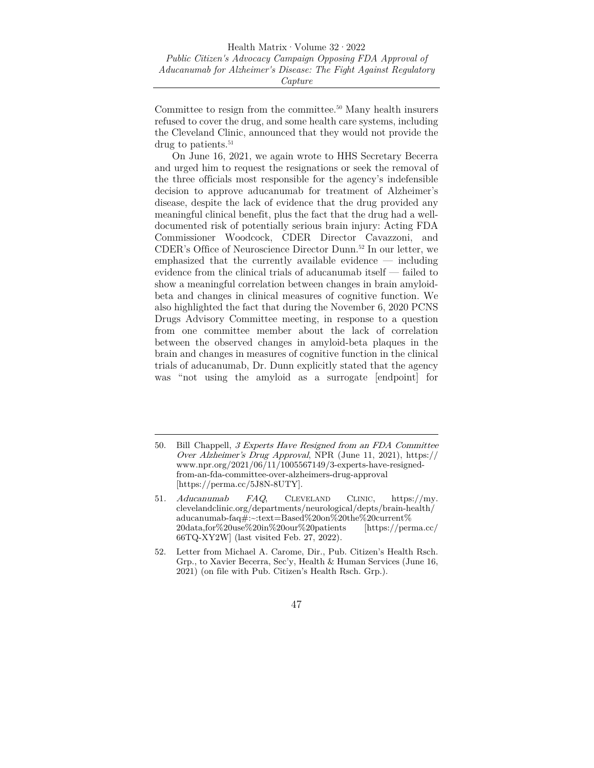Committee to resign from the committee.50 Many health insurers refused to cover the drug, and some health care systems, including the Cleveland Clinic, announced that they would not provide the drug to patients.<sup>51</sup>

On June 16, 2021, we again wrote to HHS Secretary Becerra and urged him to request the resignations or seek the removal of the three officials most responsible for the agency's indefensible decision to approve aducanumab for treatment of Alzheimer's disease, despite the lack of evidence that the drug provided any meaningful clinical benefit, plus the fact that the drug had a welldocumented risk of potentially serious brain injury: Acting FDA Commissioner Woodcock, CDER Director Cavazzoni, and CDER's Office of Neuroscience Director Dunn.52 In our letter, we emphasized that the currently available evidence — including evidence from the clinical trials of aducanumab itself — failed to show a meaningful correlation between changes in brain amyloidbeta and changes in clinical measures of cognitive function. We also highlighted the fact that during the November 6, 2020 PCNS Drugs Advisory Committee meeting, in response to a question from one committee member about the lack of correlation between the observed changes in amyloid-beta plaques in the brain and changes in measures of cognitive function in the clinical trials of aducanumab, Dr. Dunn explicitly stated that the agency was "not using the amyloid as a surrogate [endpoint] for

<sup>50.</sup> Bill Chappell, 3 Experts Have Resigned from an FDA Committee Over Alzheimer's Drug Approval, NPR (June 11, 2021), https:// www.npr.org/2021/06/11/1005567149/3-experts-have-resignedfrom-an-fda-committee-over-alzheimers-drug-approval [https://perma.cc/5J8N-8UTY].

<sup>51</sup>. Aducanumab FAQ, CLEVELAND CLINIC, https://my. clevelandclinic.org/departments/neurological/depts/brain-health/ aducanumab-faq#:~:text=Based%20on%20the%20current% 20data,for%20use%20in%20our%20patients [https://perma.cc/ 66TQ-XY2W] (last visited Feb. 27, 2022).

<sup>52.</sup> Letter from Michael A. Carome, Dir., Pub. Citizen's Health Rsch. Grp., to Xavier Becerra, Sec'y, Health & Human Services (June 16, 2021) (on file with Pub. Citizen's Health Rsch. Grp.).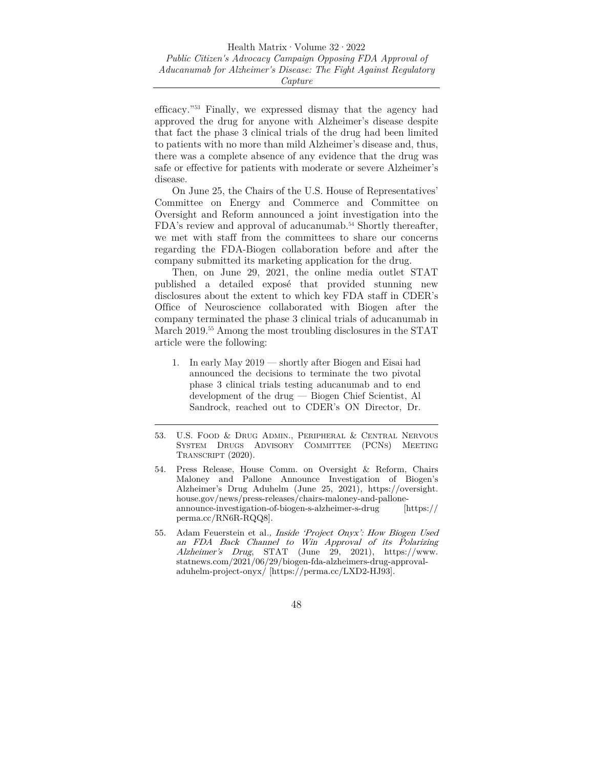efficacy."53 Finally, we expressed dismay that the agency had approved the drug for anyone with Alzheimer's disease despite that fact the phase 3 clinical trials of the drug had been limited to patients with no more than mild Alzheimer's disease and, thus, there was a complete absence of any evidence that the drug was safe or effective for patients with moderate or severe Alzheimer's disease.

On June 25, the Chairs of the U.S. House of Representatives' Committee on Energy and Commerce and Committee on Oversight and Reform announced a joint investigation into the FDA's review and approval of aducanumab.<sup>54</sup> Shortly thereafter, we met with staff from the committees to share our concerns regarding the FDA-Biogen collaboration before and after the company submitted its marketing application for the drug.

Then, on June 29, 2021, the online media outlet STAT published a detailed exposé that provided stunning new disclosures about the extent to which key FDA staff in CDER's Office of Neuroscience collaborated with Biogen after the company terminated the phase 3 clinical trials of aducanumab in March 2019.55 Among the most troubling disclosures in the STAT article were the following:

- 1. In early May 2019 shortly after Biogen and Eisai had announced the decisions to terminate the two pivotal phase 3 clinical trials testing aducanumab and to end development of the drug — Biogen Chief Scientist, Al Sandrock, reached out to CDER's ON Director, Dr.
- 53. U.S. FOOD & DRUG ADMIN., PERIPHERAL & CENTRAL NERVOUS SYSTEM DRUGS ADVISORY COMMITTEE (PCNS) MEETING TRANSCRIPT (2020).
- 54. Press Release, House Comm. on Oversight & Reform, Chairs Maloney and Pallone Announce Investigation of Biogen's Alzheimer's Drug Aduhelm (June 25, 2021), https://oversight. house.gov/news/press-releases/chairs-maloney-and-palloneannounce-investigation-of-biogen-s-alzheimer-s-drug [https:// perma.cc/RN6R-RQQ8].
- 55. Adam Feuerstein et al., Inside 'Project Onyx': How Biogen Used an FDA Back Channel to Win Approval of its Polarizing Alzheimer's Drug, STAT (June 29, 2021), https://www. statnews.com/2021/06/29/biogen-fda-alzheimers-drug-approvaladuhelm-project-onyx/ [https://perma.cc/LXD2-HJ93].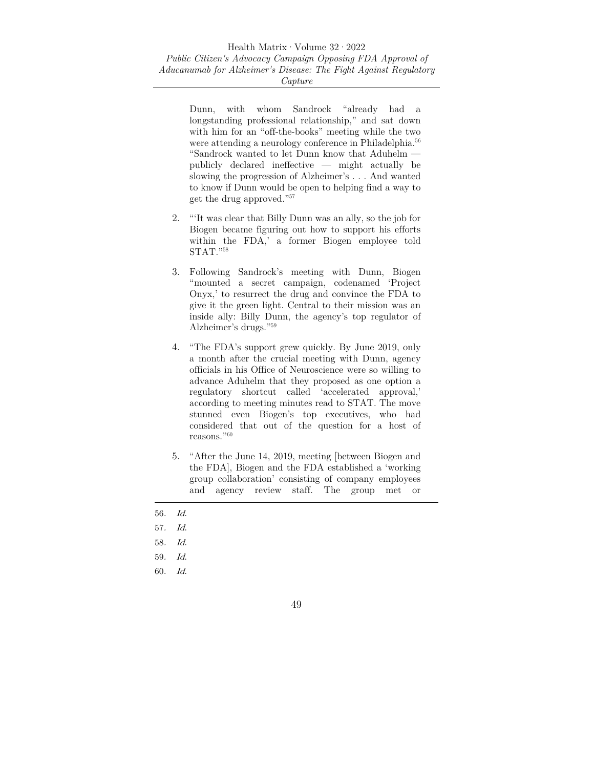Dunn, with whom Sandrock "already had a longstanding professional relationship," and sat down with him for an "off-the-books" meeting while the two were attending a neurology conference in Philadelphia.<sup>56</sup> "Sandrock wanted to let Dunn know that Aduhelm publicly declared ineffective — might actually be slowing the progression of Alzheimer's . . . And wanted to know if Dunn would be open to helping find a way to get the drug approved."57

- 2. "'It was clear that Billy Dunn was an ally, so the job for Biogen became figuring out how to support his efforts within the FDA,' a former Biogen employee told STAT."58
- 3. Following Sandrock's meeting with Dunn, Biogen "mounted a secret campaign, codenamed 'Project Onyx,' to resurrect the drug and convince the FDA to give it the green light. Central to their mission was an inside ally: Billy Dunn, the agency's top regulator of Alzheimer's drugs."59
- 4. "The FDA's support grew quickly. By June 2019, only a month after the crucial meeting with Dunn, agency officials in his Office of Neuroscience were so willing to advance Aduhelm that they proposed as one option a regulatory shortcut called 'accelerated approval,' according to meeting minutes read to STAT. The move stunned even Biogen's top executives, who had considered that out of the question for a host of reasons."60
- 5. "After the June 14, 2019, meeting [between Biogen and the FDA], Biogen and the FDA established a 'working group collaboration' consisting of company employees and agency review staff. The group met or
- 56. Id.
- 57. Id.
- 58. Id.
- 59. Id.
- 60. Id.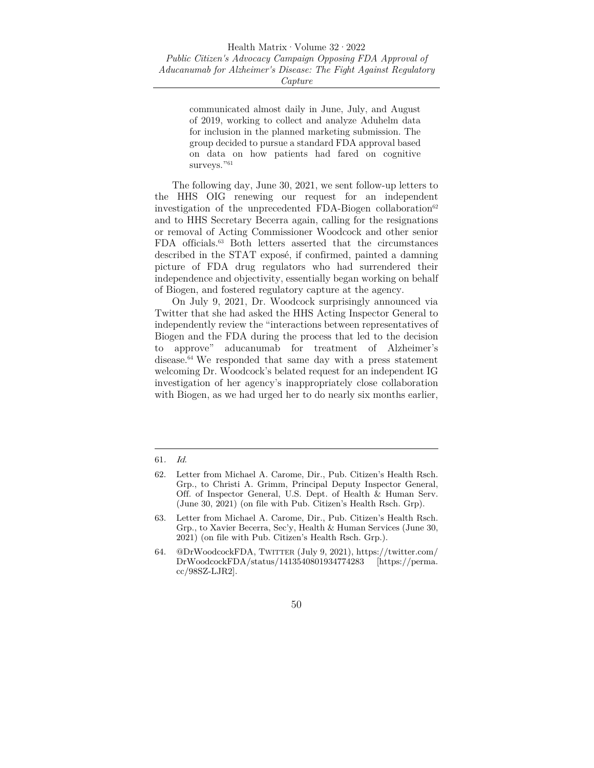communicated almost daily in June, July, and August of 2019, working to collect and analyze Aduhelm data for inclusion in the planned marketing submission. The group decided to pursue a standard FDA approval based on data on how patients had fared on cognitive surveys."<sup>61</sup>

The following day, June 30, 2021, we sent follow-up letters to the HHS OIG renewing our request for an independent investigation of the unprecedented FDA-Biogen collaboration<sup>62</sup> and to HHS Secretary Becerra again, calling for the resignations or removal of Acting Commissioner Woodcock and other senior FDA officials.63 Both letters asserted that the circumstances described in the STAT exposé, if confirmed, painted a damning picture of FDA drug regulators who had surrendered their independence and objectivity, essentially began working on behalf of Biogen, and fostered regulatory capture at the agency.

On July 9, 2021, Dr. Woodcock surprisingly announced via Twitter that she had asked the HHS Acting Inspector General to independently review the "interactions between representatives of Biogen and the FDA during the process that led to the decision to approve" aducanumab for treatment of Alzheimer's disease.<sup>64</sup> We responded that same day with a press statement welcoming Dr. Woodcock's belated request for an independent IG investigation of her agency's inappropriately close collaboration with Biogen, as we had urged her to do nearly six months earlier,

<sup>61</sup>. Id.

<sup>62.</sup> Letter from Michael A. Carome, Dir., Pub. Citizen's Health Rsch. Grp., to Christi A. Grimm, Principal Deputy Inspector General, Off. of Inspector General, U.S. Dept. of Health & Human Serv. (June 30, 2021) (on file with Pub. Citizen's Health Rsch. Grp).

<sup>63.</sup> Letter from Michael A. Carome, Dir., Pub. Citizen's Health Rsch. Grp., to Xavier Becerra, Sec'y, Health & Human Services (June 30, 2021) (on file with Pub. Citizen's Health Rsch. Grp.).

<sup>64. @</sup>DrWoodcockFDA, TWITTER (July 9, 2021), https://twitter.com/ DrWoodcockFDA/status/1413540801934774283 [https://perma. cc/98SZ-LJR2].

<sup>50</sup>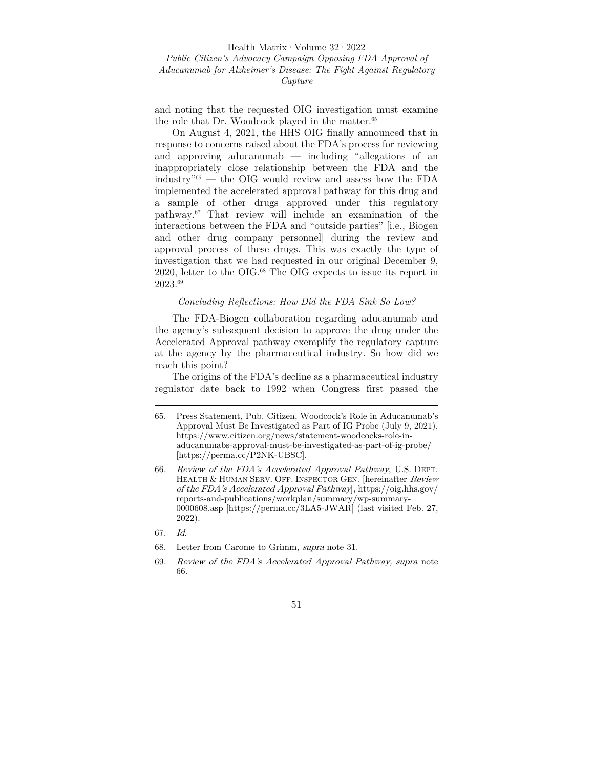and noting that the requested OIG investigation must examine the role that Dr. Woodcock played in the matter.<sup>65</sup>

On August 4, 2021, the HHS OIG finally announced that in response to concerns raised about the FDA's process for reviewing and approving aducanumab — including "allegations of an inappropriately close relationship between the FDA and the industry"66 — the OIG would review and assess how the FDA implemented the accelerated approval pathway for this drug and a sample of other drugs approved under this regulatory pathway.67 That review will include an examination of the interactions between the FDA and "outside parties" [i.e., Biogen and other drug company personnel] during the review and approval process of these drugs. This was exactly the type of investigation that we had requested in our original December 9, 2020, letter to the OIG.68 The OIG expects to issue its report in 2023.69

#### *Concluding Reflections: How Did the FDA Sink So Low?*

The FDA-Biogen collaboration regarding aducanumab and the agency's subsequent decision to approve the drug under the Accelerated Approval pathway exemplify the regulatory capture at the agency by the pharmaceutical industry. So how did we reach this point?

The origins of the FDA's decline as a pharmaceutical industry regulator date back to 1992 when Congress first passed the

<sup>65.</sup> Press Statement, Pub. Citizen, Woodcock's Role in Aducanumab's Approval Must Be Investigated as Part of IG Probe (July 9, 2021), https://www.citizen.org/news/statement-woodcocks-role-inaducanumabs-approval-must-be-investigated-as-part-of-ig-probe/ [https://perma.cc/P2NK-UBSC].

<sup>66</sup>. Review of the FDA's Accelerated Approval Pathway, U.S. DEPT. HEALTH & HUMAN SERV. OFF. INSPECTOR GEN. [hereinafter Review of the FDA's Accelerated Approval Pathway], https://oig.hhs.gov/ reports-and-publications/workplan/summary/wp-summary-0000608.asp [https://perma.cc/3LA5-JWAR] (last visited Feb. 27, 2022).

<sup>67</sup>. Id.

<sup>68.</sup> Letter from Carome to Grimm, supra note 31.

<sup>69</sup>. Review of the FDA's Accelerated Approval Pathway, supra note 66.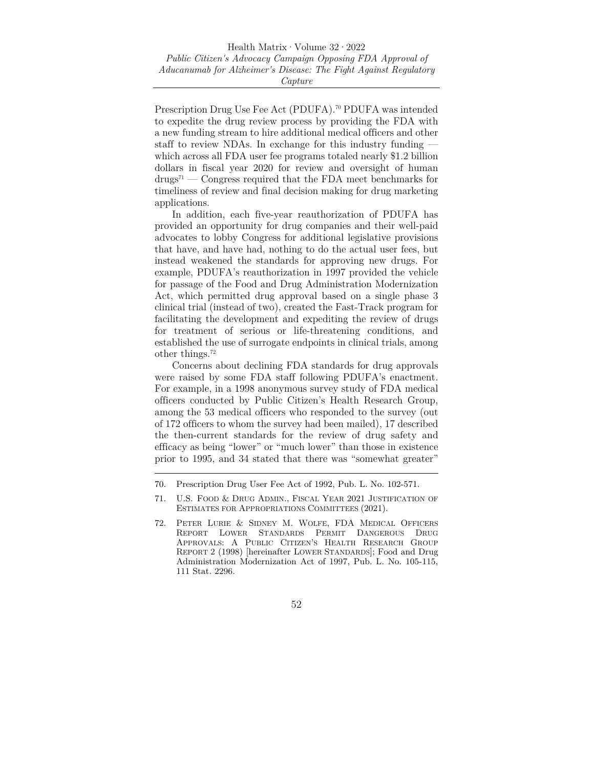Prescription Drug Use Fee Act (PDUFA).<sup>70</sup> PDUFA was intended to expedite the drug review process by providing the FDA with a new funding stream to hire additional medical officers and other staff to review NDAs. In exchange for this industry funding which across all FDA user fee programs totaled nearly \$1.2 billion dollars in fiscal year 2020 for review and oversight of human  $\text{drugs}^{71}$  — Congress required that the FDA meet benchmarks for timeliness of review and final decision making for drug marketing applications.

In addition, each five-year reauthorization of PDUFA has provided an opportunity for drug companies and their well-paid advocates to lobby Congress for additional legislative provisions that have, and have had, nothing to do the actual user fees, but instead weakened the standards for approving new drugs. For example, PDUFA's reauthorization in 1997 provided the vehicle for passage of the Food and Drug Administration Modernization Act, which permitted drug approval based on a single phase 3 clinical trial (instead of two), created the Fast-Track program for facilitating the development and expediting the review of drugs for treatment of serious or life-threatening conditions, and established the use of surrogate endpoints in clinical trials, among other things.72

Concerns about declining FDA standards for drug approvals were raised by some FDA staff following PDUFA's enactment. For example, in a 1998 anonymous survey study of FDA medical officers conducted by Public Citizen's Health Research Group, among the 53 medical officers who responded to the survey (out of 172 officers to whom the survey had been mailed), 17 described the then-current standards for the review of drug safety and efficacy as being "lower" or "much lower" than those in existence prior to 1995, and 34 stated that there was "somewhat greater"

<sup>70.</sup> Prescription Drug User Fee Act of 1992, Pub. L. No. 102-571.

<sup>71.</sup> U.S. FOOD & DRUG ADMIN., FISCAL YEAR 2021 JUSTIFICATION OF ESTIMATES FOR APPROPRIATIONS COMMITTEES (2021).

<sup>72.</sup> PETER LURIE & SIDNEY M. WOLFE, FDA MEDICAL OFFICERS REPORT LOWER STANDARDS PERMIT DANGEROUS DRUG APPROVALS: A PUBLIC CITIZEN'S HEALTH RESEARCH GROUP REPORT 2 (1998) [hereinafter LOWER STANDARDS]; Food and Drug Administration Modernization Act of 1997, Pub. L. No. 105-115, 111 Stat. 2296.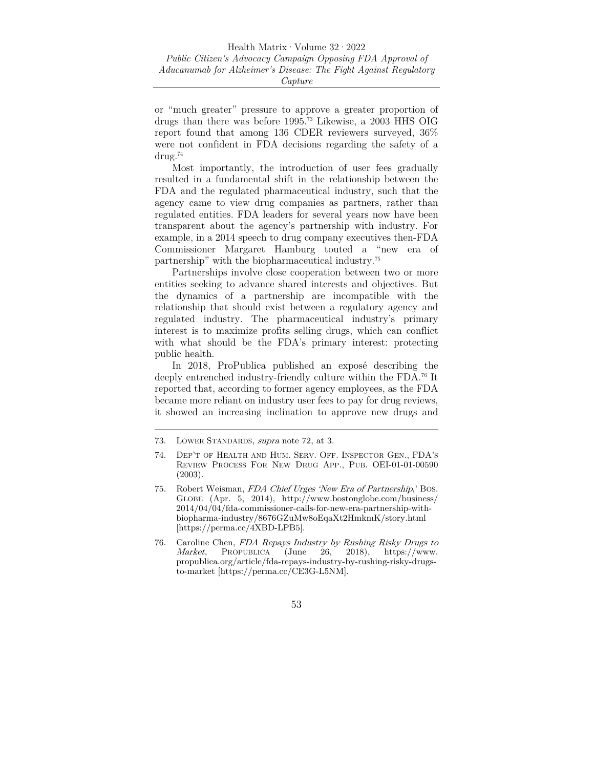or "much greater" pressure to approve a greater proportion of drugs than there was before 1995.73 Likewise, a 2003 HHS OIG report found that among 136 CDER reviewers surveyed, 36% were not confident in FDA decisions regarding the safety of a drug.74

Most importantly, the introduction of user fees gradually resulted in a fundamental shift in the relationship between the FDA and the regulated pharmaceutical industry, such that the agency came to view drug companies as partners, rather than regulated entities. FDA leaders for several years now have been transparent about the agency's partnership with industry. For example, in a 2014 speech to drug company executives then-FDA Commissioner Margaret Hamburg touted a "new era of partnership" with the biopharmaceutical industry.75

Partnerships involve close cooperation between two or more entities seeking to advance shared interests and objectives. But the dynamics of a partnership are incompatible with the relationship that should exist between a regulatory agency and regulated industry. The pharmaceutical industry's primary interest is to maximize profits selling drugs, which can conflict with what should be the FDA's primary interest: protecting public health.

In 2018, ProPublica published an exposé describing the deeply entrenched industry-friendly culture within the FDA.76 It reported that, according to former agency employees, as the FDA became more reliant on industry user fees to pay for drug reviews, it showed an increasing inclination to approve new drugs and

<sup>73.</sup> LOWER STANDARDS, supra note 72, at 3.

<sup>74.</sup> DEP'T OF HEALTH AND HUM. SERV. OFF. INSPECTOR GEN., FDA'S REVIEW PROCESS FOR NEW DRUG APP., PUB. OEI-01-01-00590 (2003).

<sup>75.</sup> Robert Weisman, FDA Chief Urges 'New Era of Partnership,' BOS. GLOBE (Apr. 5, 2014), http://www.bostonglobe.com/business/ 2014/04/04/fda-commissioner-calls-for-new-era-partnership-withbiopharma-industry/8676GZuMw8oEqaXt2HmkmK/story.html [https://perma.cc/4XBD-LPB5].

<sup>76.</sup> Caroline Chen, FDA Repays Industry by Rushing Risky Drugs to Market, PROPUBLICA (June 26, 2018), https://www. propublica.org/article/fda-repays-industry-by-rushing-risky-drugsto-market [https://perma.cc/CE3G-L5NM].

<sup>53</sup>